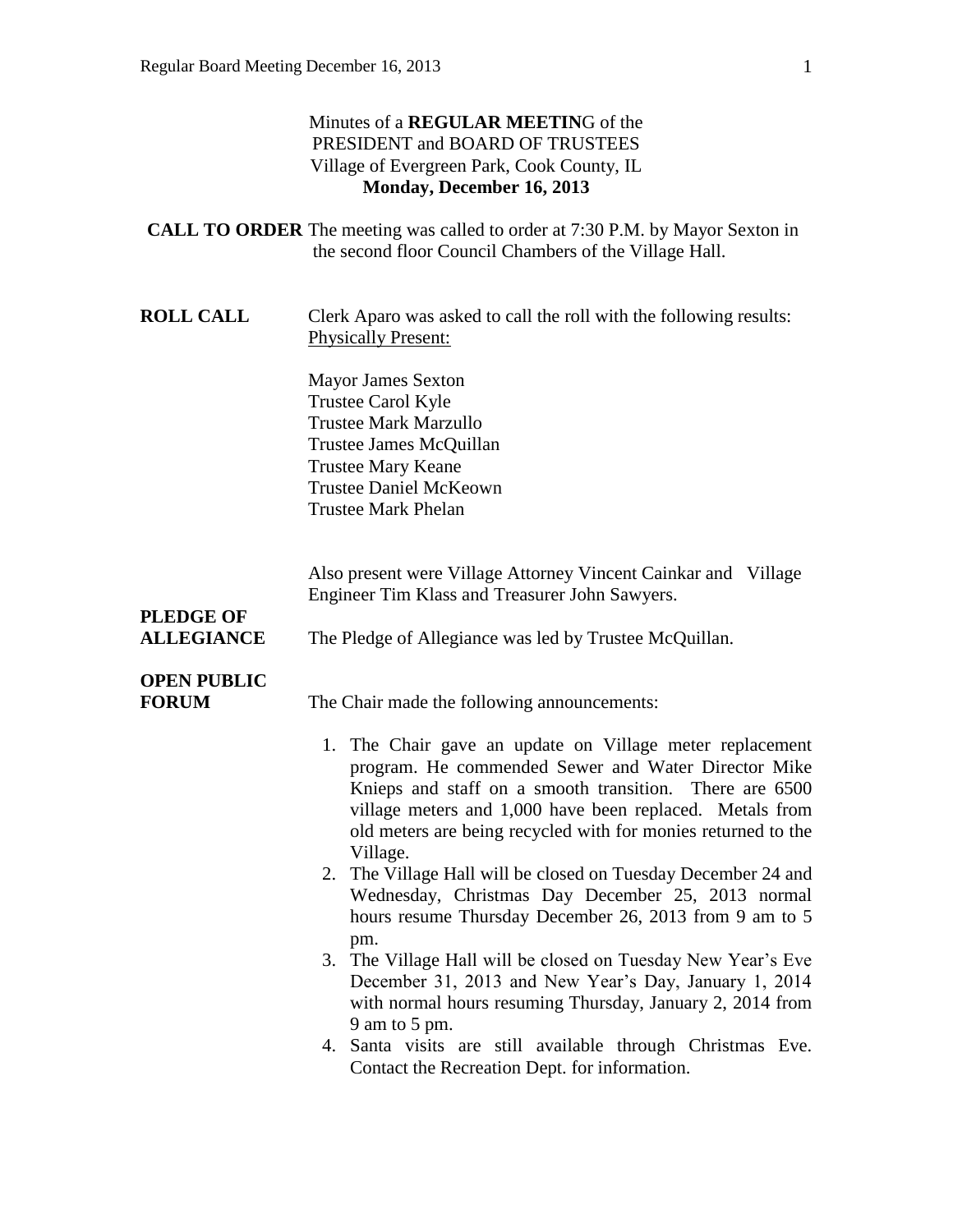|                                       | Minutes of a REGULAR MEETING of the<br>PRESIDENT and BOARD OF TRUSTEES<br>Village of Evergreen Park, Cook County, IL<br>Monday, December 16, 2013                                                                                                                                                                                                                                                                                                                                        |
|---------------------------------------|------------------------------------------------------------------------------------------------------------------------------------------------------------------------------------------------------------------------------------------------------------------------------------------------------------------------------------------------------------------------------------------------------------------------------------------------------------------------------------------|
|                                       | <b>CALL TO ORDER</b> The meeting was called to order at 7:30 P.M. by Mayor Sexton in<br>the second floor Council Chambers of the Village Hall.                                                                                                                                                                                                                                                                                                                                           |
| <b>ROLL CALL</b>                      | Clerk Aparo was asked to call the roll with the following results:<br><b>Physically Present:</b>                                                                                                                                                                                                                                                                                                                                                                                         |
|                                       | <b>Mayor James Sexton</b><br>Trustee Carol Kyle<br><b>Trustee Mark Marzullo</b><br>Trustee James McQuillan<br><b>Trustee Mary Keane</b><br><b>Trustee Daniel McKeown</b><br><b>Trustee Mark Phelan</b>                                                                                                                                                                                                                                                                                   |
| <b>PLEDGE OF</b><br><b>ALLEGIANCE</b> | Also present were Village Attorney Vincent Cainkar and Village<br>Engineer Tim Klass and Treasurer John Sawyers.<br>The Pledge of Allegiance was led by Trustee McQuillan.                                                                                                                                                                                                                                                                                                               |
| <b>OPEN PUBLIC</b><br><b>FORUM</b>    | The Chair made the following announcements:<br>1. The Chair gave an update on Village meter replacement<br>program. He commended Sewer and Water Director Mike<br>Knieps and staff on a smooth transition. There are 6500<br>village meters and 1,000 have been replaced. Metals from<br>old meters are being recycled with for monies returned to the<br>Village.<br>2. The Village Hall will be closed on Tuesday December 24 and<br>Wednesday, Christmas Day December 25, 2013 normal |
|                                       | hours resume Thursday December 26, 2013 from 9 am to 5<br>pm.<br>3. The Village Hall will be closed on Tuesday New Year's Eve<br>December 31, 2013 and New Year's Day, January 1, 2014<br>with normal hours resuming Thursday, January 2, 2014 from<br>9 am to 5 pm.<br>4. Santa visits are still available through Christmas Eve.<br>Contact the Recreation Dept. for information.                                                                                                      |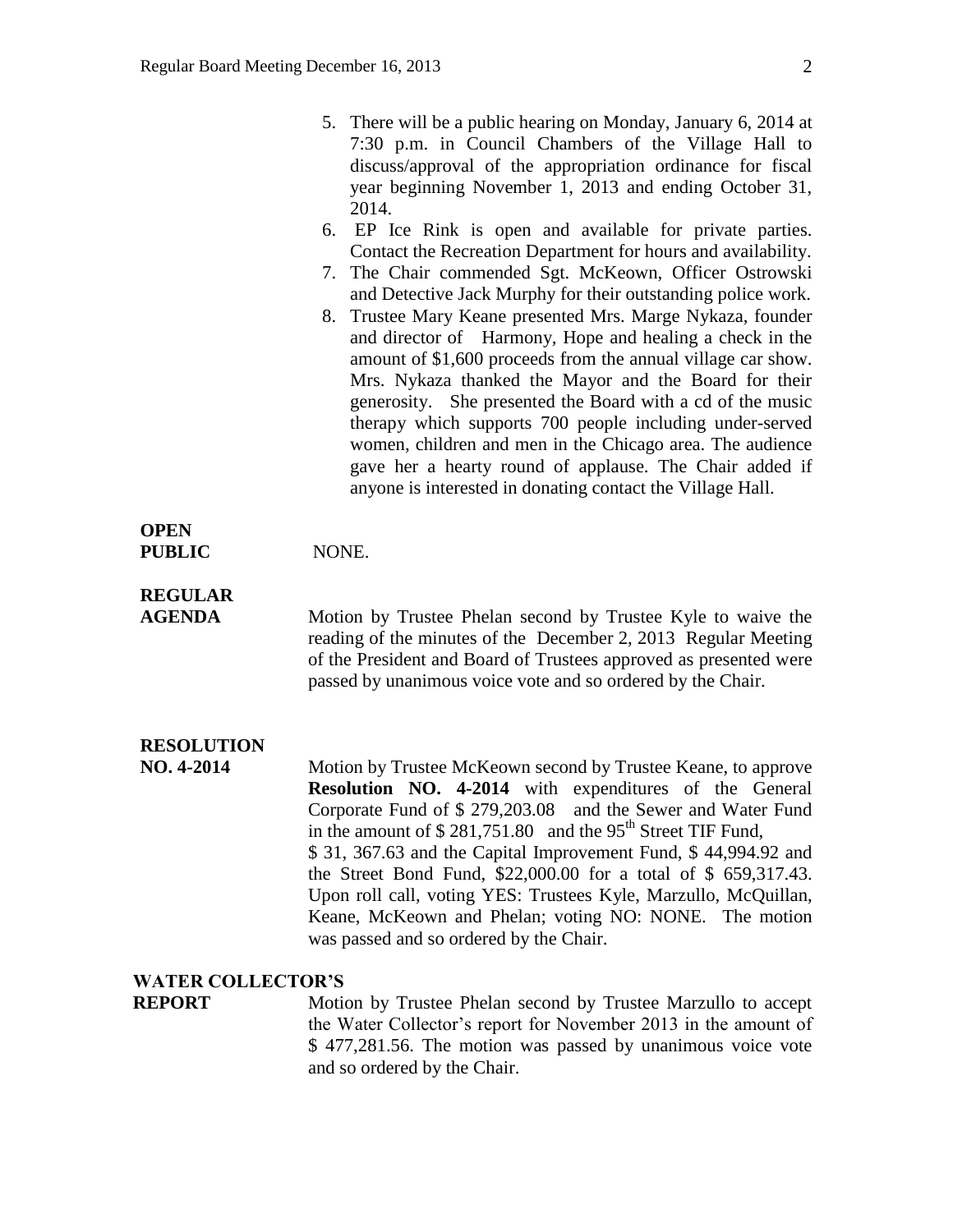| 5. There will be a public hearing on Monday, January 6, 2014 at<br>7:30 p.m. in Council Chambers of the Village Hall to<br>discuss/approval of the appropriation ordinance for fiscal<br>year beginning November 1, 2013 and ending October 31,<br>2014.                                                                                                                                                                                                                                                                                                        |
|-----------------------------------------------------------------------------------------------------------------------------------------------------------------------------------------------------------------------------------------------------------------------------------------------------------------------------------------------------------------------------------------------------------------------------------------------------------------------------------------------------------------------------------------------------------------|
| 6. EP Ice Rink is open and available for private parties.<br>Contact the Recreation Department for hours and availability.                                                                                                                                                                                                                                                                                                                                                                                                                                      |
| 7. The Chair commended Sgt. McKeown, Officer Ostrowski<br>and Detective Jack Murphy for their outstanding police work.                                                                                                                                                                                                                                                                                                                                                                                                                                          |
| 8. Trustee Mary Keane presented Mrs. Marge Nykaza, founder<br>and director of Harmony, Hope and healing a check in the<br>amount of \$1,600 proceeds from the annual village car show.<br>Mrs. Nykaza thanked the Mayor and the Board for their<br>generosity. She presented the Board with a cd of the music<br>therapy which supports 700 people including under-served<br>women, children and men in the Chicago area. The audience<br>gave her a hearty round of applause. The Chair added if<br>anyone is interested in donating contact the Village Hall. |

#### **OPEN PUBLIC** NONE.

# **REGULAR**

**AGENDA** Motion by Trustee Phelan second by Trustee Kyle to waive the reading of the minutes of the December 2, 2013 Regular Meeting of the President and Board of Trustees approved as presented were passed by unanimous voice vote and so ordered by the Chair.

# **RESOLUTION**

**NO. 4-2014** Motion by Trustee McKeown second by Trustee Keane, to approve **Resolution NO. 4-2014** with expenditures of the General Corporate Fund of \$ 279,203.08 and the Sewer and Water Fund in the amount of  $$281,751.80$  and the 95<sup>th</sup> Street TIF Fund, \$ 31, 367.63 and the Capital Improvement Fund, \$ 44,994.92 and the Street Bond Fund, \$22,000.00 for a total of \$ 659,317.43. Upon roll call, voting YES: Trustees Kyle, Marzullo, McQuillan, Keane, McKeown and Phelan; voting NO: NONE. The motion was passed and so ordered by the Chair.

### **WATER COLLECTOR'S**

**REPORT** Motion by Trustee Phelan second by Trustee Marzullo to accept the Water Collector's report for November 2013 in the amount of \$ 477,281.56. The motion was passed by unanimous voice vote and so ordered by the Chair.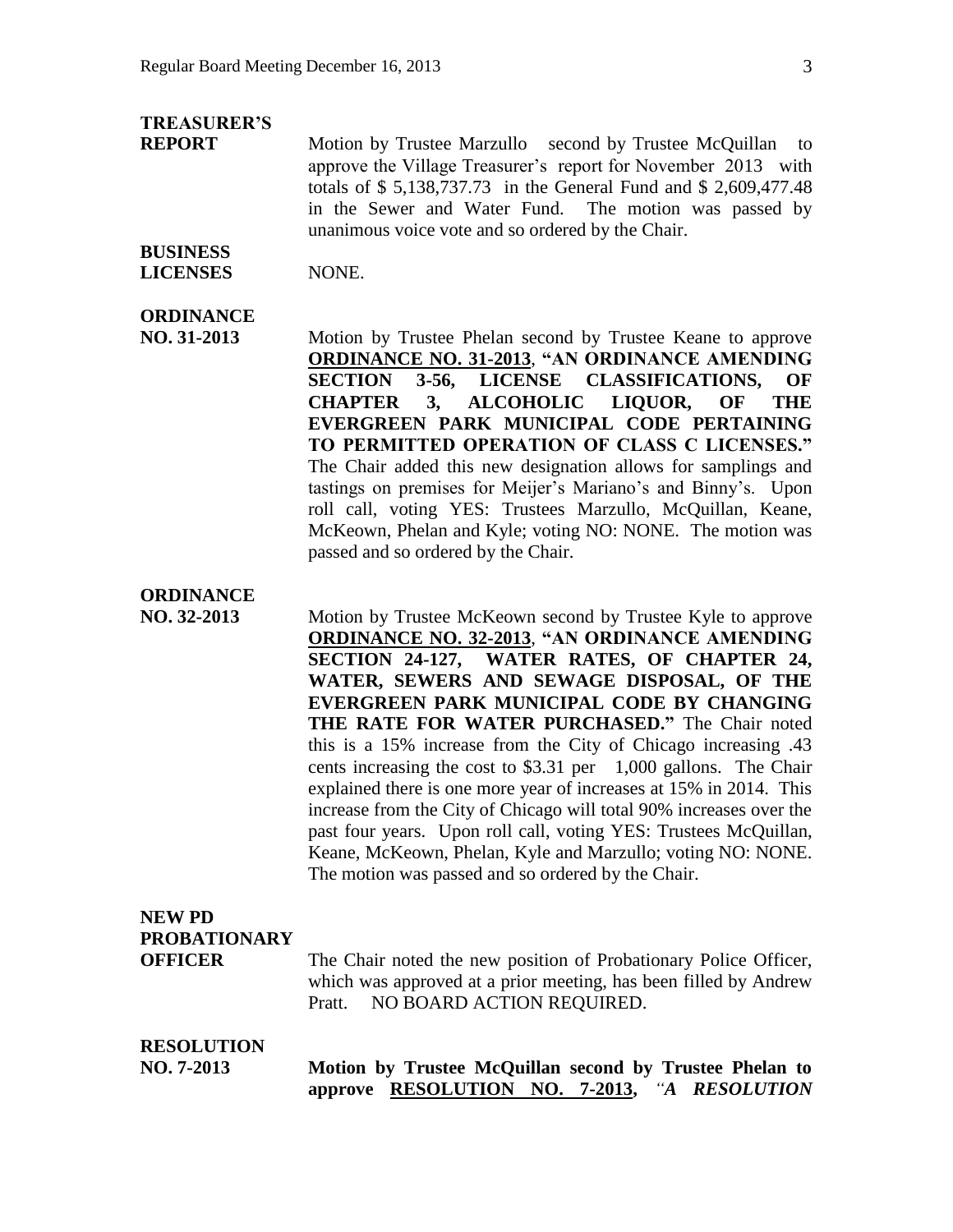# **TREASURER'S**

**REPORT** Motion by Trustee Marzullo second by Trustee McQuillan to approve the Village Treasurer's report for November 2013 with totals of \$ 5,138,737.73 in the General Fund and \$ 2,609,477.48 in the Sewer and Water Fund. The motion was passed by unanimous voice vote and so ordered by the Chair.

### **BUSINESS LICENSES** NONE.

# **ORDINANCE**

**NO. 31-2013** Motion by Trustee Phelan second by Trustee Keane to approve **ORDINANCE NO. 31-2013**, **"AN ORDINANCE AMENDING SECTION 3-56, LICENSE CLASSIFICATIONS, OF CHAPTER 3, ALCOHOLIC LIQUOR, OF THE EVERGREEN PARK MUNICIPAL CODE PERTAINING TO PERMITTED OPERATION OF CLASS C LICENSES."** The Chair added this new designation allows for samplings and tastings on premises for Meijer's Mariano's and Binny's. Upon roll call, voting YES: Trustees Marzullo, McQuillan, Keane, McKeown, Phelan and Kyle; voting NO: NONE. The motion was passed and so ordered by the Chair.

# **ORDINANCE**

**NO. 32-2013** Motion by Trustee McKeown second by Trustee Kyle to approve **ORDINANCE NO. 32-2013**, **"AN ORDINANCE AMENDING SECTION 24-127, WATER RATES, OF CHAPTER 24, WATER, SEWERS AND SEWAGE DISPOSAL, OF THE EVERGREEN PARK MUNICIPAL CODE BY CHANGING THE RATE FOR WATER PURCHASED."** The Chair noted this is a 15% increase from the City of Chicago increasing .43 cents increasing the cost to \$3.31 per 1,000 gallons. The Chair explained there is one more year of increases at 15% in 2014. This increase from the City of Chicago will total 90% increases over the past four years. Upon roll call, voting YES: Trustees McQuillan, Keane, McKeown, Phelan, Kyle and Marzullo; voting NO: NONE. The motion was passed and so ordered by the Chair.

# **NEW PD PROBATIONARY OFFICER** The Chair noted the new position of Probationary Police Officer, which was approved at a prior meeting, has been filled by Andrew Pratt. NO BOARD ACTION REQUIRED.

# **RESOLUTION**

**NO. 7-2013 Motion by Trustee McQuillan second by Trustee Phelan to approve RESOLUTION NO. 7-2013,** *"A RESOLUTION*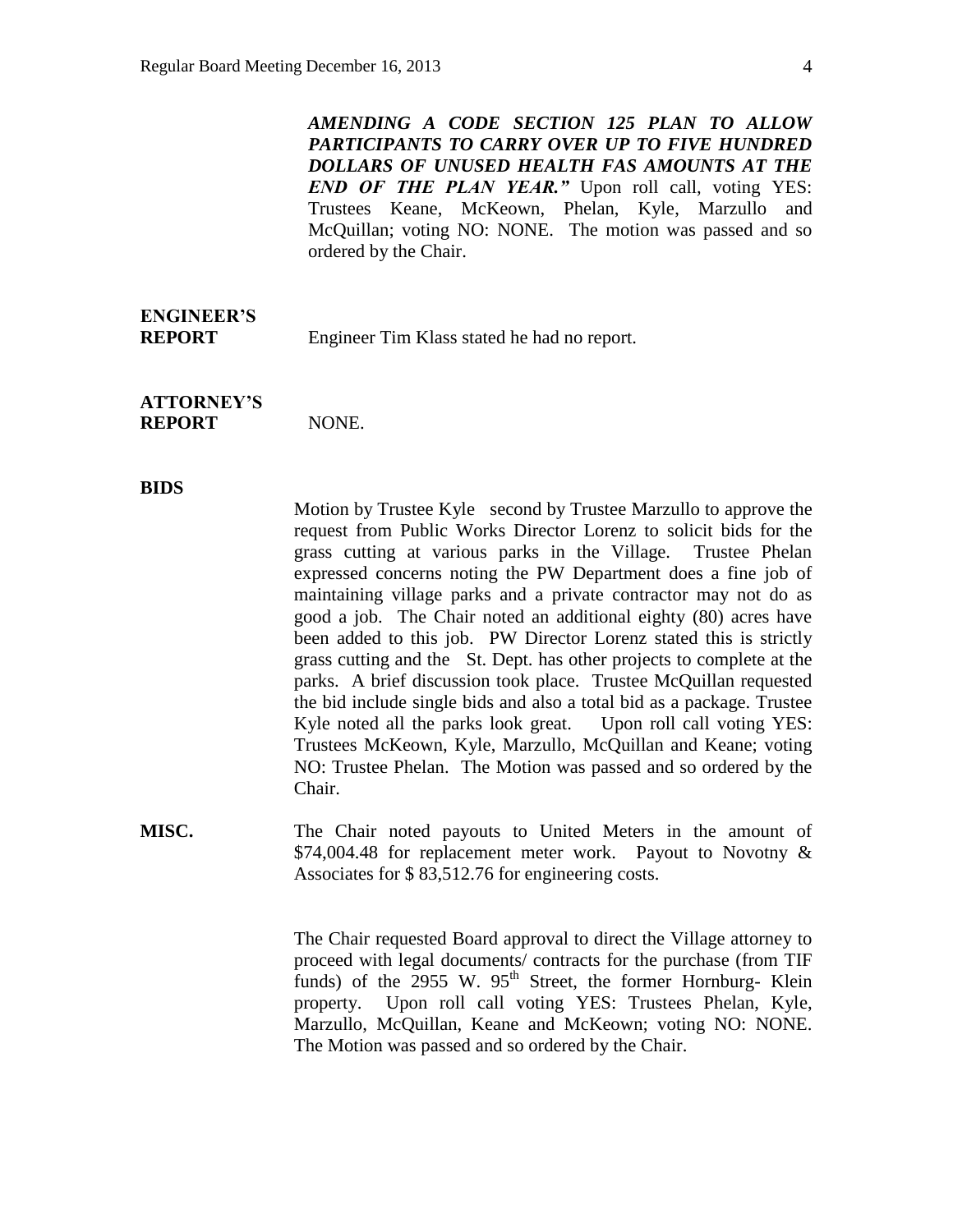*AMENDING A CODE SECTION 125 PLAN TO ALLOW PARTICIPANTS TO CARRY OVER UP TO FIVE HUNDRED DOLLARS OF UNUSED HEALTH FAS AMOUNTS AT THE END OF THE PLAN YEAR."* Upon roll call, voting YES: Trustees Keane, McKeown, Phelan, Kyle, Marzullo and McQuillan; voting NO: NONE. The motion was passed and so ordered by the Chair.

# **ENGINEER'S**

**REPORT** Engineer Tim Klass stated he had no report.

**ATTORNEY'S REPORT** NONE.

#### **BIDS**

Motion by Trustee Kyle second by Trustee Marzullo to approve the request from Public Works Director Lorenz to solicit bids for the grass cutting at various parks in the Village. Trustee Phelan expressed concerns noting the PW Department does a fine job of maintaining village parks and a private contractor may not do as good a job. The Chair noted an additional eighty (80) acres have been added to this job. PW Director Lorenz stated this is strictly grass cutting and the St. Dept. has other projects to complete at the parks. A brief discussion took place. Trustee McQuillan requested the bid include single bids and also a total bid as a package. Trustee Kyle noted all the parks look great. Upon roll call voting YES: Trustees McKeown, Kyle, Marzullo, McQuillan and Keane; voting NO: Trustee Phelan. The Motion was passed and so ordered by the Chair.

**MISC.** The Chair noted payouts to United Meters in the amount of \$74,004.48 for replacement meter work. Payout to Novotny & Associates for \$ 83,512.76 for engineering costs.

> The Chair requested Board approval to direct the Village attorney to proceed with legal documents/ contracts for the purchase (from TIF funds) of the  $2955$  W.  $95<sup>th</sup>$  Street, the former Hornburg- Klein property. Upon roll call voting YES: Trustees Phelan, Kyle, Marzullo, McQuillan, Keane and McKeown; voting NO: NONE. The Motion was passed and so ordered by the Chair.